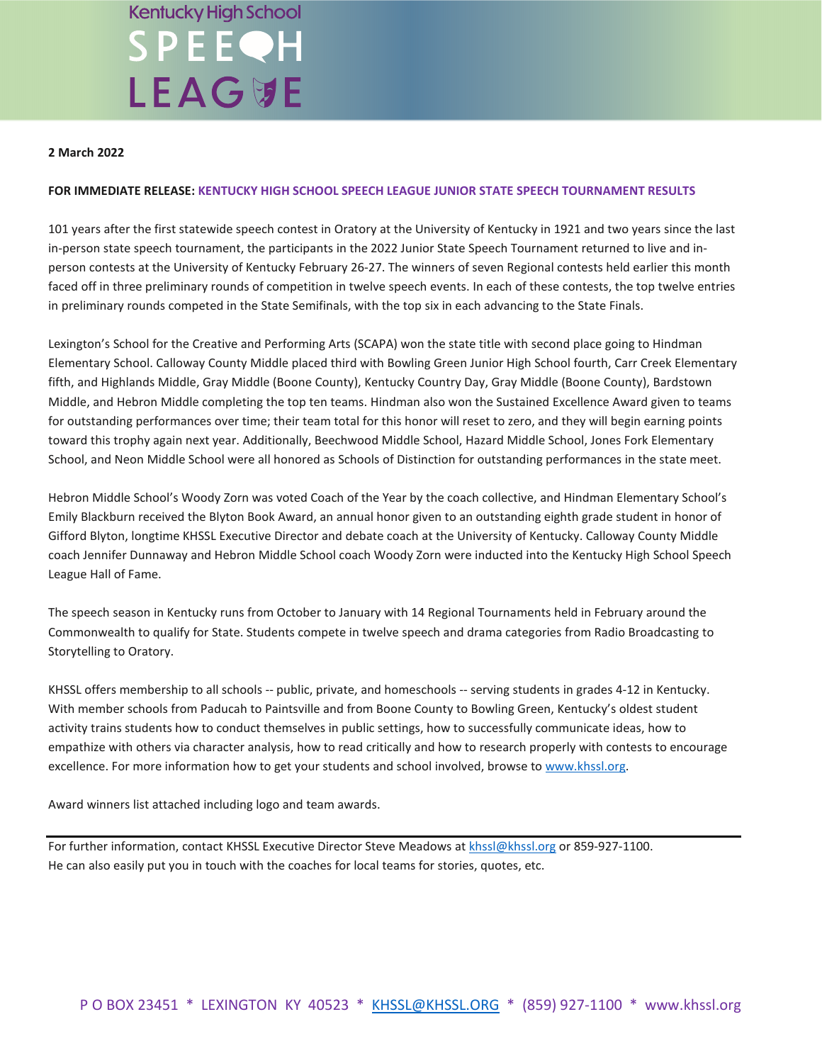# **Kentucky High School** SPEEQH **LEAG切E**

### **2 March 2022**

### **FOR IMMEDIATE RELEASE: KENTUCKY HIGH SCHOOL SPEECH LEAGUE JUNIOR STATE SPEECH TOURNAMENT RESULTS**

101 years after the first statewide speech contest in Oratory at the University of Kentucky in 1921 and two years since the last in-person state speech tournament, the participants in the 2022 Junior State Speech Tournament returned to live and inperson contests at the University of Kentucky February 26-27. The winners of seven Regional contests held earlier this month faced off in three preliminary rounds of competition in twelve speech events. In each of these contests, the top twelve entries in preliminary rounds competed in the State Semifinals, with the top six in each advancing to the State Finals.

Lexington's School for the Creative and Performing Arts (SCAPA) won the state title with second place going to Hindman Elementary School. Calloway County Middle placed third with Bowling Green Junior High School fourth, Carr Creek Elementary fifth, and Highlands Middle, Gray Middle (Boone County), Kentucky Country Day, Gray Middle (Boone County), Bardstown Middle, and Hebron Middle completing the top ten teams. Hindman also won the Sustained Excellence Award given to teams for outstanding performances over time; their team total for this honor will reset to zero, and they will begin earning points toward this trophy again next year. Additionally, Beechwood Middle School, Hazard Middle School, Jones Fork Elementary School, and Neon Middle School were all honored as Schools of Distinction for outstanding performances in the state meet.

Hebron Middle School's Woody Zorn was voted Coach of the Year by the coach collective, and Hindman Elementary School's Emily Blackburn received the Blyton Book Award, an annual honor given to an outstanding eighth grade student in honor of Gifford Blyton, longtime KHSSL Executive Director and debate coach at the University of Kentucky. Calloway County Middle coach Jennifer Dunnaway and Hebron Middle School coach Woody Zorn were inducted into the Kentucky High School Speech League Hall of Fame.

The speech season in Kentucky runs from October to January with 14 Regional Tournaments held in February around the Commonwealth to qualify for State. Students compete in twelve speech and drama categories from Radio Broadcasting to Storytelling to Oratory.

KHSSL offers membership to all schools -- public, private, and homeschools -- serving students in grades 4-12 in Kentucky. With member schools from Paducah to Paintsville and from Boone County to Bowling Green, Kentucky's oldest student activity trains students how to conduct themselves in public settings, how to successfully communicate ideas, how to empathize with others via character analysis, how to read critically and how to research properly with contests to encourage excellence. For more information how to get your students and school involved, browse to [www.khssl.org.](http://www.khssl.org/)

Award winners list attached including logo and team awards.

For further information, contact KHSSL Executive Director Steve Meadows a[t khssl@khssl.org](mailto:khssl@khssl.org) or 859-927-1100. He can also easily put you in touch with the coaches for local teams for stories, quotes, etc.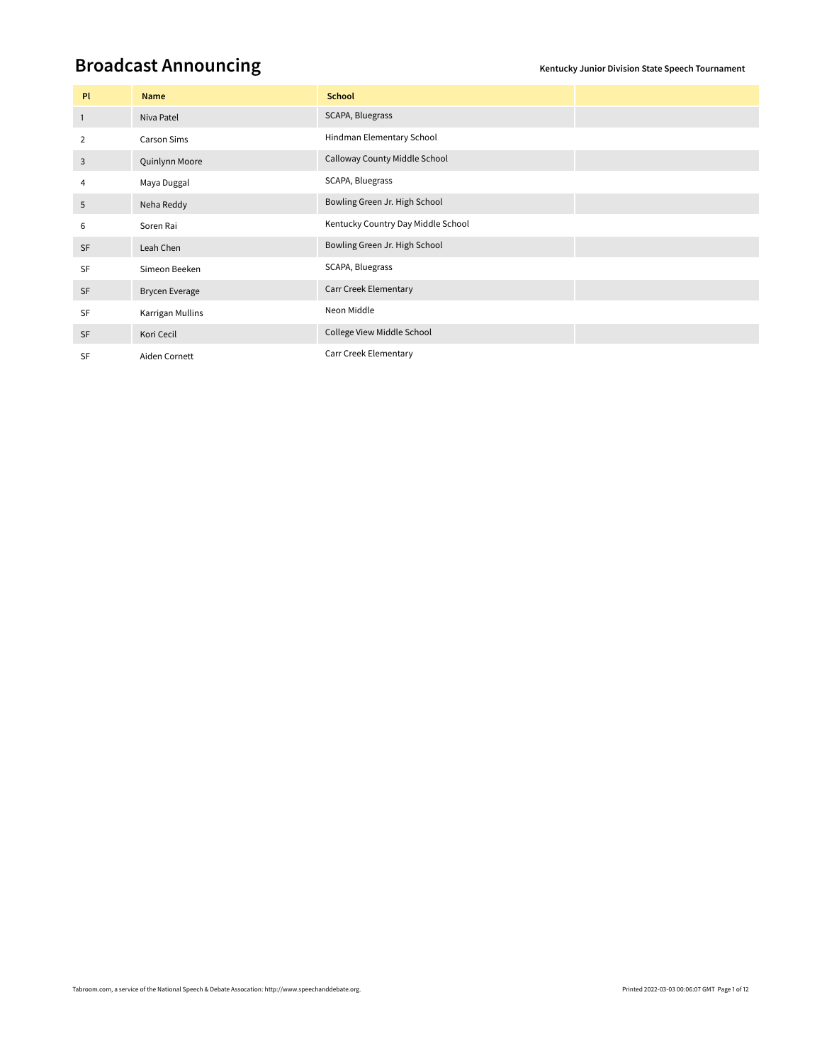## **Broadcast Announcing Kentucky Junior Division State Speech Tournament**

| PL             | Name                  | <b>School</b>                      |  |
|----------------|-----------------------|------------------------------------|--|
| $\overline{1}$ | Niva Patel            | SCAPA, Bluegrass                   |  |
| 2              | Carson Sims           | Hindman Elementary School          |  |
| 3              | Quinlynn Moore        | Calloway County Middle School      |  |
| 4              | Maya Duggal           | SCAPA, Bluegrass                   |  |
| 5              | Neha Reddy            | Bowling Green Jr. High School      |  |
| 6              | Soren Rai             | Kentucky Country Day Middle School |  |
| <b>SF</b>      | Leah Chen             | Bowling Green Jr. High School      |  |
| SF             | Simeon Beeken         | SCAPA, Bluegrass                   |  |
| SF             | <b>Brycen Everage</b> | <b>Carr Creek Elementary</b>       |  |
| <b>SF</b>      | Karrigan Mullins      | Neon Middle                        |  |
| <b>SF</b>      | Kori Cecil            | College View Middle School         |  |
| <b>SF</b>      | Aiden Cornett         | Carr Creek Elementary              |  |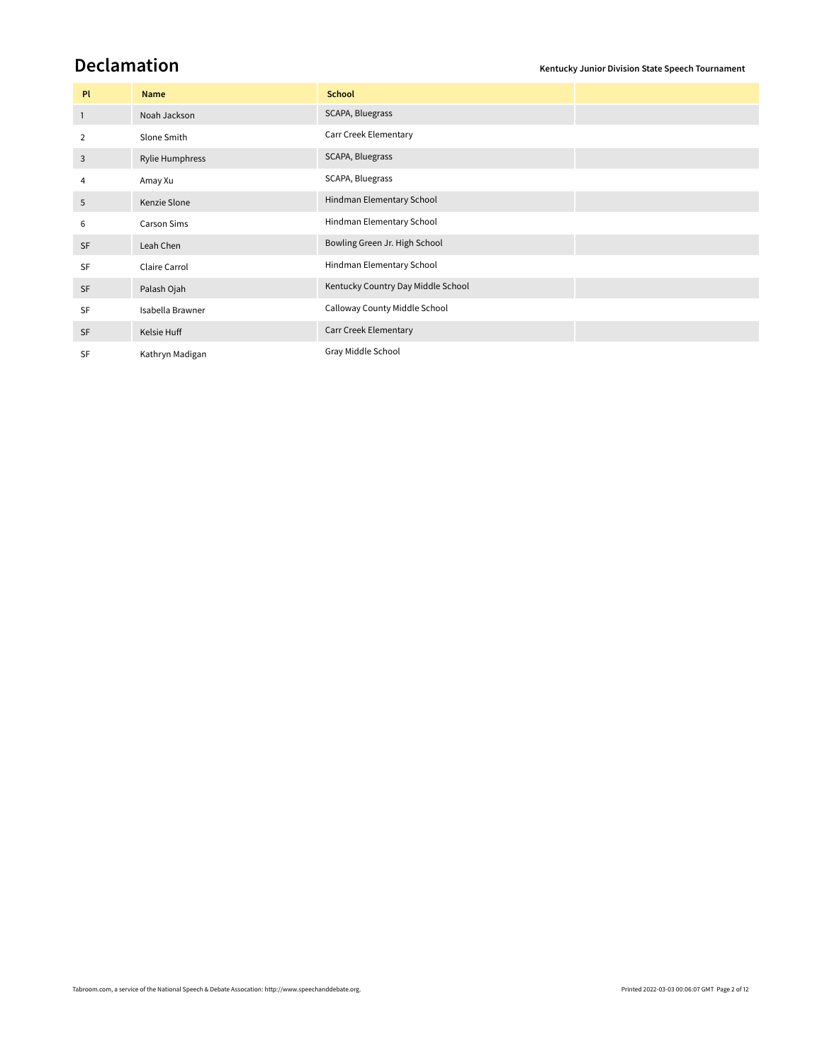**Declamation Kentucky Junior Division State Speech Tournament**

| Pl           | Name             | <b>School</b>                      |  |
|--------------|------------------|------------------------------------|--|
| $\mathbf{1}$ | Noah Jackson     | SCAPA, Bluegrass                   |  |
| 2            | Slone Smith      | Carr Creek Elementary              |  |
| 3            | Rylie Humphress  | SCAPA, Bluegrass                   |  |
| 4            | Amay Xu          | SCAPA, Bluegrass                   |  |
| 5            | Kenzie Slone     | Hindman Elementary School          |  |
| 6            | Carson Sims      | Hindman Elementary School          |  |
| <b>SF</b>    | Leah Chen        | Bowling Green Jr. High School      |  |
| <b>SF</b>    | Claire Carrol    | Hindman Elementary School          |  |
| <b>SF</b>    | Palash Ojah      | Kentucky Country Day Middle School |  |
| <b>SF</b>    | Isabella Brawner | Calloway County Middle School      |  |
| <b>SF</b>    | Kelsie Huff      | Carr Creek Elementary              |  |
| <b>SF</b>    | Kathryn Madigan  | Gray Middle School                 |  |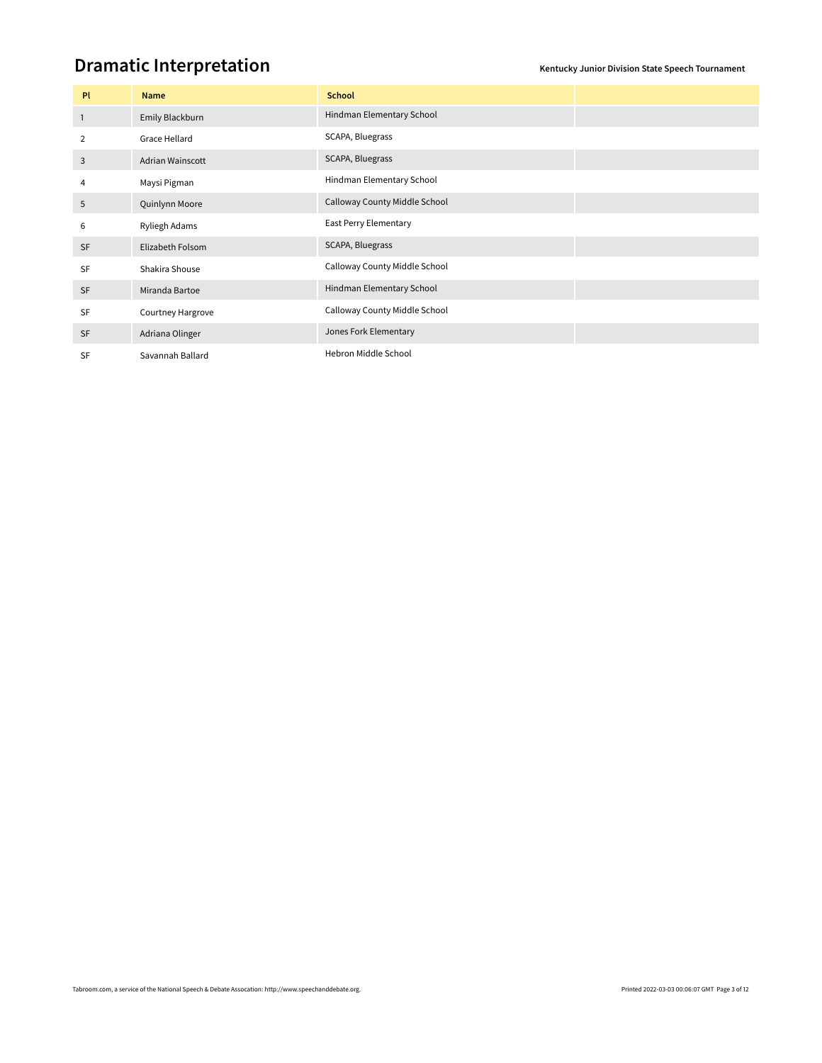### **Dramatic Interpretation**

| Pl           | Name              | <b>School</b>                 |  |
|--------------|-------------------|-------------------------------|--|
| $\mathbf{1}$ | Emily Blackburn   | Hindman Elementary School     |  |
| 2            | Grace Hellard     | SCAPA, Bluegrass              |  |
| 3            | Adrian Wainscott  | SCAPA, Bluegrass              |  |
| 4            | Maysi Pigman      | Hindman Elementary School     |  |
| 5            | Quinlynn Moore    | Calloway County Middle School |  |
| 6            | Ryliegh Adams     | East Perry Elementary         |  |
| <b>SF</b>    | Elizabeth Folsom  | SCAPA, Bluegrass              |  |
| <b>SF</b>    | Shakira Shouse    | Calloway County Middle School |  |
| <b>SF</b>    | Miranda Bartoe    | Hindman Elementary School     |  |
| <b>SF</b>    | Courtney Hargrove | Calloway County Middle School |  |
| <b>SF</b>    | Adriana Olinger   | Jones Fork Elementary         |  |
| <b>SF</b>    | Savannah Ballard  | Hebron Middle School          |  |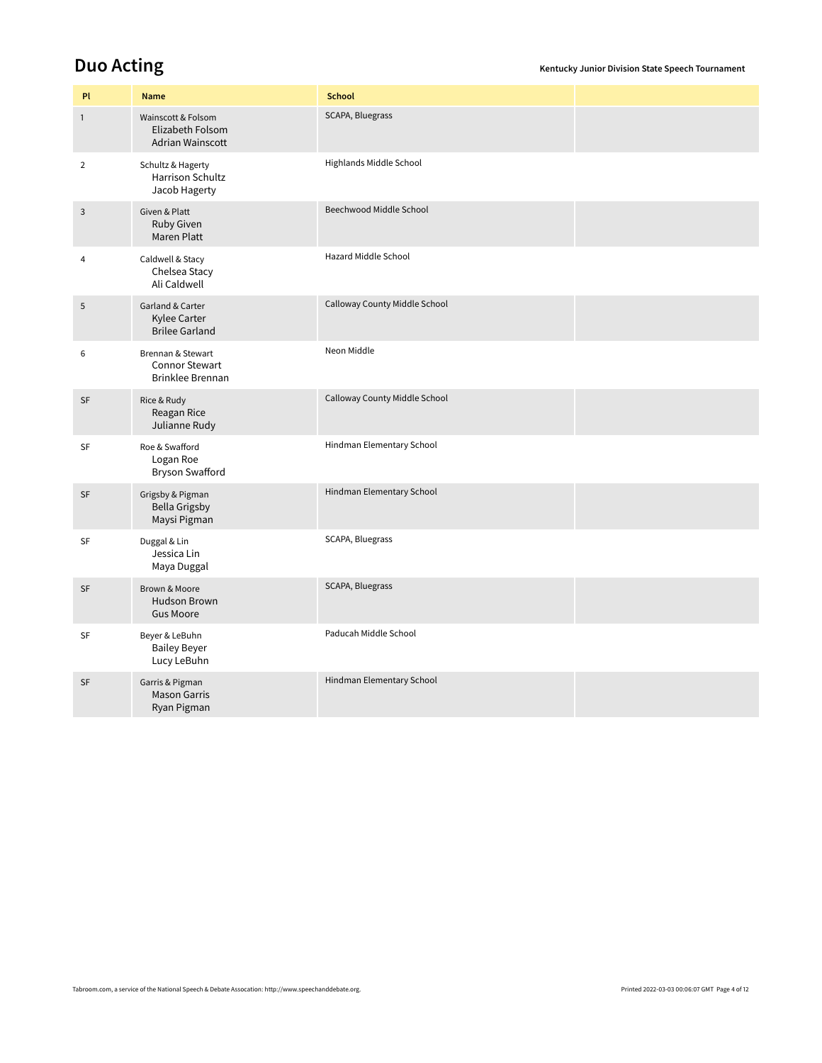**Duo Acting COLLECTING CONSUMING THE SPEECH TO ACTING ACTING** *Kentucky Junior Division State Speech Tournament* 

| PI             | <b>Name</b>                                                    | <b>School</b>                 |  |
|----------------|----------------------------------------------------------------|-------------------------------|--|
| $\mathbf{1}$   | Wainscott & Folsom<br>Elizabeth Folsom<br>Adrian Wainscott     | SCAPA, Bluegrass              |  |
| $\overline{2}$ | Schultz & Hagerty<br>Harrison Schultz<br>Jacob Hagerty         | Highlands Middle School       |  |
| 3              | Given & Platt<br>Ruby Given<br>Maren Platt                     | Beechwood Middle School       |  |
| $\overline{4}$ | Caldwell & Stacy<br>Chelsea Stacy<br>Ali Caldwell              | Hazard Middle School          |  |
| 5              | Garland & Carter<br>Kylee Carter<br><b>Brilee Garland</b>      | Calloway County Middle School |  |
| 6              | Brennan & Stewart<br><b>Connor Stewart</b><br>Brinklee Brennan | Neon Middle                   |  |
| SF             | Rice & Rudy<br>Reagan Rice<br>Julianne Rudy                    | Calloway County Middle School |  |
| SF             | Roe & Swafford<br>Logan Roe<br>Bryson Swafford                 | Hindman Elementary School     |  |
| SF             | Grigsby & Pigman<br><b>Bella Grigsby</b><br>Maysi Pigman       | Hindman Elementary School     |  |
| SF             | Duggal & Lin<br>Jessica Lin<br>Maya Duggal                     | SCAPA, Bluegrass              |  |
| SF             | Brown & Moore<br><b>Hudson Brown</b><br><b>Gus Moore</b>       | SCAPA, Bluegrass              |  |
| SF             | Beyer & LeBuhn<br><b>Bailey Beyer</b><br>Lucy LeBuhn           | Paducah Middle School         |  |
| SF             | Garris & Pigman<br><b>Mason Garris</b><br>Ryan Pigman          | Hindman Elementary School     |  |
|                |                                                                |                               |  |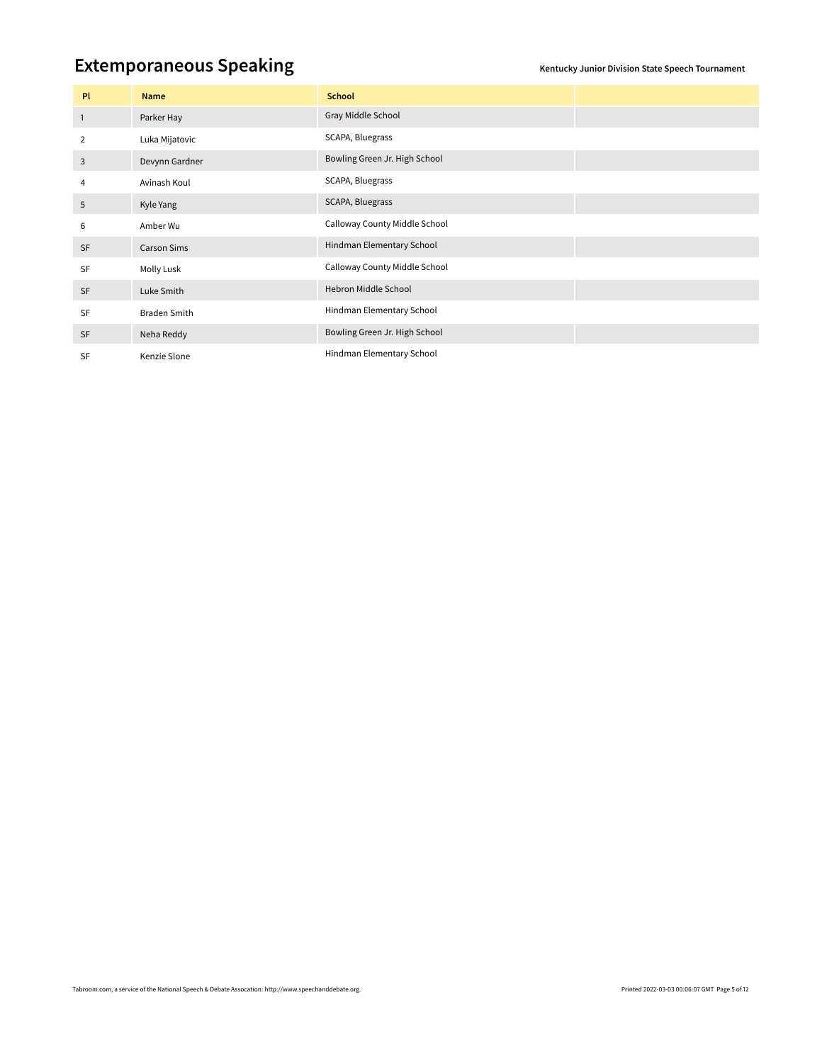## **Extemporaneous Speaking** *Extemporaneous* **Speaking**

| PI             | Name                | <b>School</b>                 |  |
|----------------|---------------------|-------------------------------|--|
| $\overline{1}$ | Parker Hay          | Gray Middle School            |  |
| 2              | Luka Mijatovic      | SCAPA, Bluegrass              |  |
| 3              | Devynn Gardner      | Bowling Green Jr. High School |  |
| 4              | Avinash Koul        | SCAPA, Bluegrass              |  |
| 5              | Kyle Yang           | SCAPA, Bluegrass              |  |
| 6              | Amber Wu            | Calloway County Middle School |  |
| SF             | <b>Carson Sims</b>  | Hindman Elementary School     |  |
| <b>SF</b>      | Molly Lusk          | Calloway County Middle School |  |
| <b>SF</b>      | Luke Smith          | Hebron Middle School          |  |
| SF             | <b>Braden Smith</b> | Hindman Elementary School     |  |
| <b>SF</b>      | Neha Reddy          | Bowling Green Jr. High School |  |
| <b>SF</b>      | Kenzie Slone        | Hindman Elementary School     |  |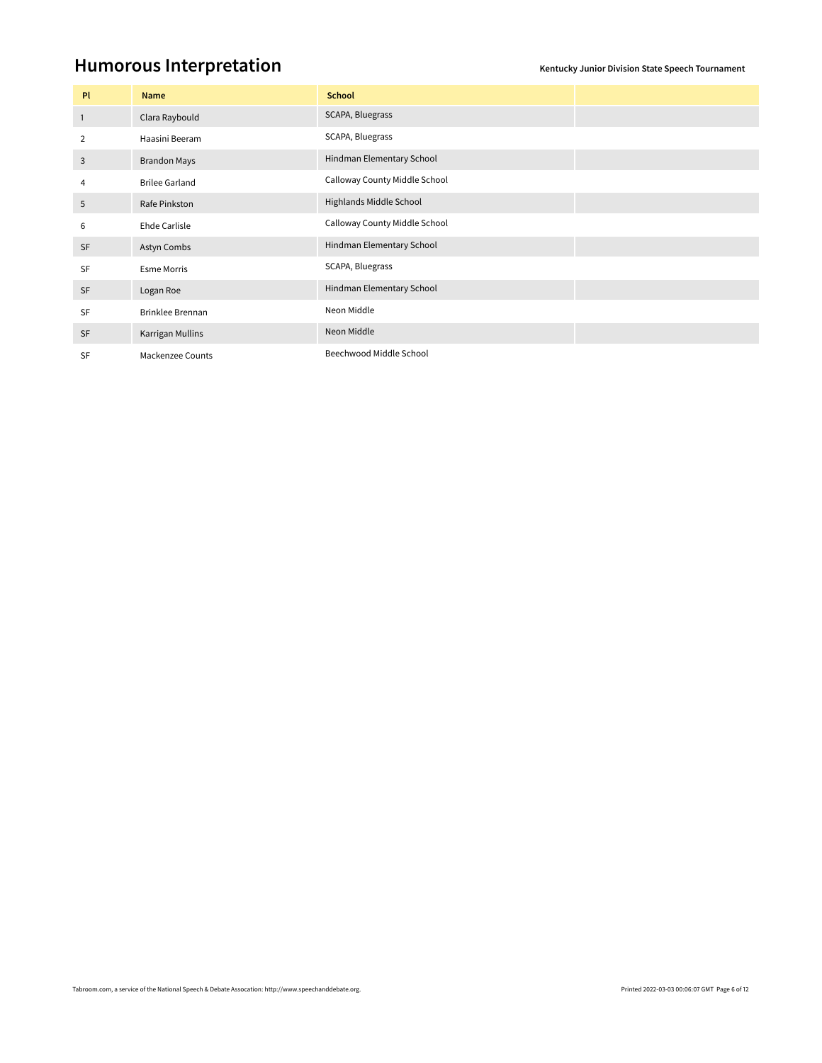### **Humorous Interpretation**

| Pl             | Name                    | <b>School</b>                 |  |
|----------------|-------------------------|-------------------------------|--|
| $\overline{1}$ | Clara Raybould          | SCAPA, Bluegrass              |  |
| 2              | Haasini Beeram          | SCAPA, Bluegrass              |  |
| 3              | <b>Brandon Mays</b>     | Hindman Elementary School     |  |
| 4              | <b>Brilee Garland</b>   | Calloway County Middle School |  |
| 5              | Rafe Pinkston           | Highlands Middle School       |  |
| 6              | Ehde Carlisle           | Calloway County Middle School |  |
| <b>SF</b>      | Astyn Combs             | Hindman Elementary School     |  |
| <b>SF</b>      | <b>Esme Morris</b>      | SCAPA, Bluegrass              |  |
| <b>SF</b>      | Logan Roe               | Hindman Elementary School     |  |
| <b>SF</b>      | <b>Brinklee Brennan</b> | Neon Middle                   |  |
| <b>SF</b>      | Karrigan Mullins        | Neon Middle                   |  |
| <b>SF</b>      | <b>Mackenzee Counts</b> | Beechwood Middle School       |  |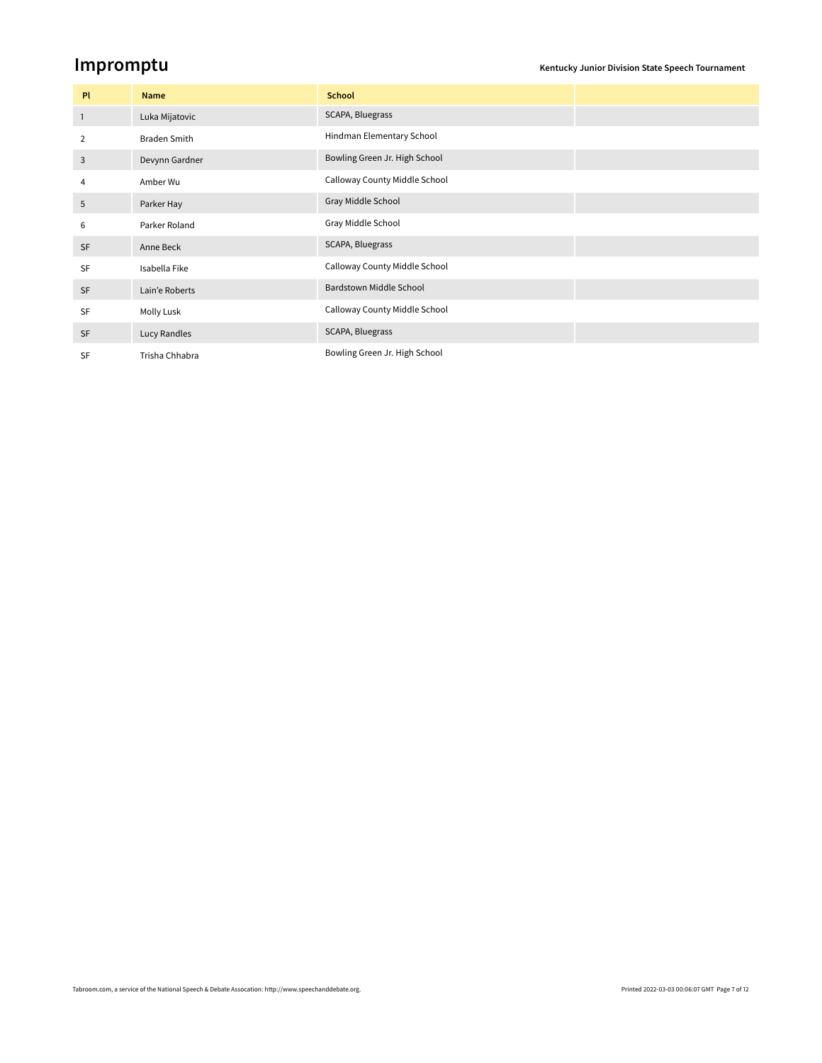**Impromptu Kentucky Junior Division State Speech Tournament** 

| PL             | Name                | <b>School</b>                 |  |
|----------------|---------------------|-------------------------------|--|
| $\overline{1}$ | Luka Mijatovic      | SCAPA, Bluegrass              |  |
| $\overline{2}$ | <b>Braden Smith</b> | Hindman Elementary School     |  |
| 3              | Devynn Gardner      | Bowling Green Jr. High School |  |
| 4              | Amber Wu            | Calloway County Middle School |  |
| 5              | Parker Hay          | Gray Middle School            |  |
| 6              | Parker Roland       | Gray Middle School            |  |
| SF             | Anne Beck           | SCAPA, Bluegrass              |  |
| SF             | Isabella Fike       | Calloway County Middle School |  |
| <b>SF</b>      | Lain'e Roberts      | Bardstown Middle School       |  |
| SF             | Molly Lusk          | Calloway County Middle School |  |
| <b>SF</b>      | Lucy Randles        | SCAPA, Bluegrass              |  |
| <b>SF</b>      | Trisha Chhabra      | Bowling Green Jr. High School |  |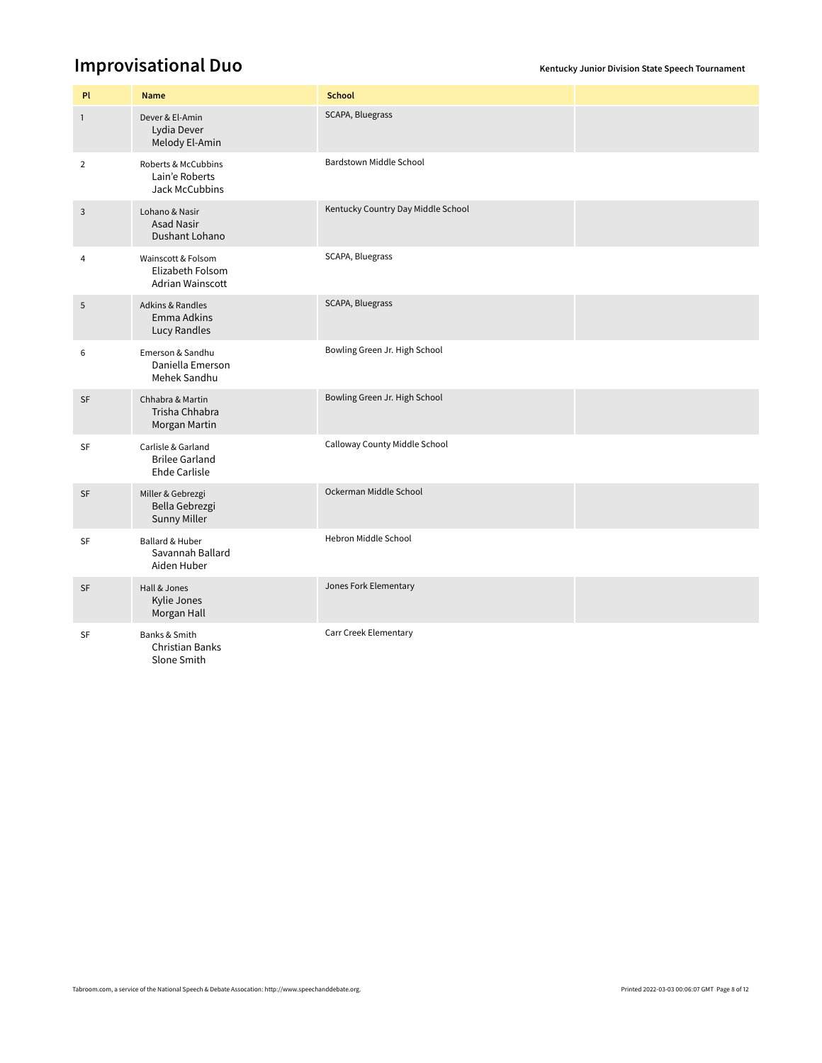### **Improvisational Duo** *Improvisational*

| PI             | <b>Name</b>                                                         | <b>School</b>                      |  |
|----------------|---------------------------------------------------------------------|------------------------------------|--|
| $\mathbf{1}$   | Dever & El-Amin<br>Lydia Dever<br>Melody El-Amin                    | SCAPA, Bluegrass                   |  |
| $\overline{2}$ | Roberts & McCubbins<br>Lain'e Roberts<br>Jack McCubbins             | Bardstown Middle School            |  |
| $\mathsf 3$    | Lohano & Nasir<br><b>Asad Nasir</b><br>Dushant Lohano               | Kentucky Country Day Middle School |  |
| 4              | Wainscott & Folsom<br>Elizabeth Folsom<br><b>Adrian Wainscott</b>   | SCAPA, Bluegrass                   |  |
| 5              | <b>Adkins &amp; Randles</b><br>Emma Adkins<br>Lucy Randles          | SCAPA, Bluegrass                   |  |
| 6              | Emerson & Sandhu<br>Daniella Emerson<br>Mehek Sandhu                | Bowling Green Jr. High School      |  |
| SF             | Chhabra & Martin<br>Trisha Chhabra<br>Morgan Martin                 | Bowling Green Jr. High School      |  |
| SF             | Carlisle & Garland<br><b>Brilee Garland</b><br><b>Ehde Carlisle</b> | Calloway County Middle School      |  |
| SF             | Miller & Gebrezgi<br>Bella Gebrezgi<br>Sunny Miller                 | Ockerman Middle School             |  |
| SF             | <b>Ballard &amp; Huber</b><br>Savannah Ballard<br>Aiden Huber       | Hebron Middle School               |  |
| SF             | Hall & Jones<br>Kylie Jones<br>Morgan Hall                          | Jones Fork Elementary              |  |
| SF             | Banks & Smith<br><b>Christian Banks</b><br>Slone Smith              | Carr Creek Elementary              |  |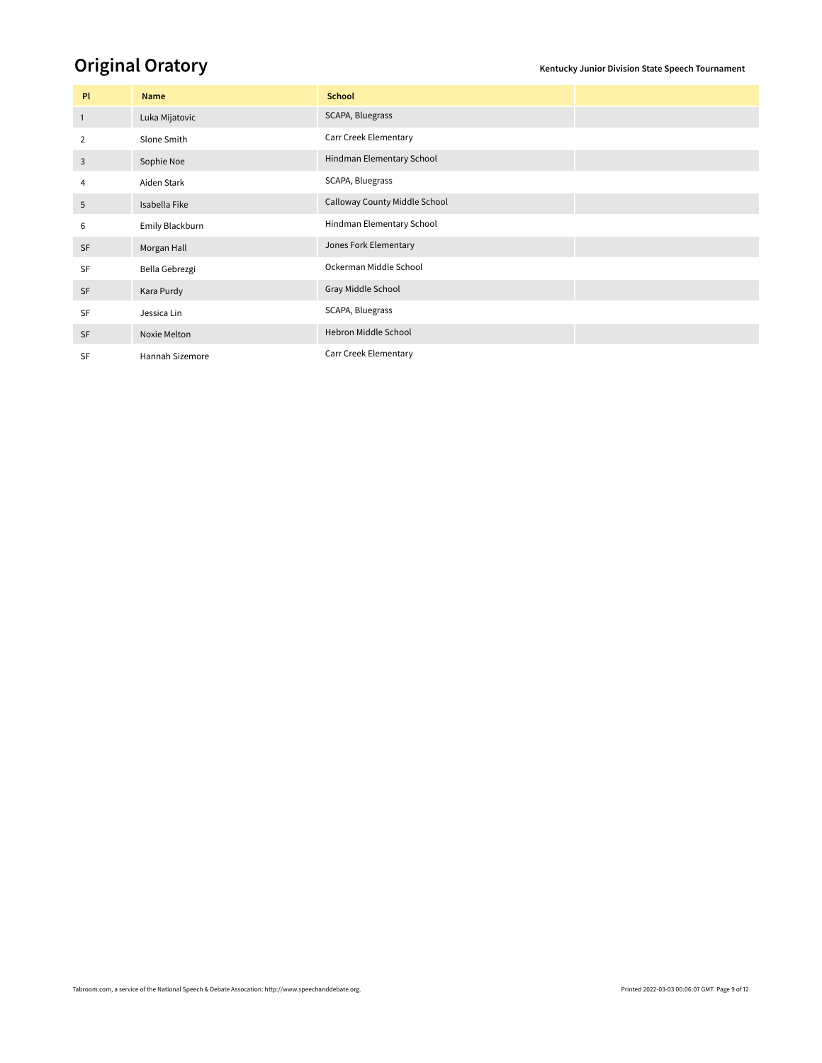## **Original Oratory Community Community Community** Rental Section State Speech Tournament

| <b>PI</b>      | Name            | <b>School</b>                 |  |
|----------------|-----------------|-------------------------------|--|
| $\overline{1}$ | Luka Mijatovic  | SCAPA, Bluegrass              |  |
| 2              | Slone Smith     | Carr Creek Elementary         |  |
| 3              | Sophie Noe      | Hindman Elementary School     |  |
| 4              | Aiden Stark     | SCAPA, Bluegrass              |  |
| 5              | Isabella Fike   | Calloway County Middle School |  |
| 6              | Emily Blackburn | Hindman Elementary School     |  |
| <b>SF</b>      | Morgan Hall     | Jones Fork Elementary         |  |
| SF             | Bella Gebrezgi  | Ockerman Middle School        |  |
| SF             | Kara Purdy      | Gray Middle School            |  |
| SF             | Jessica Lin     | SCAPA, Bluegrass              |  |
| <b>SF</b>      | Noxie Melton    | Hebron Middle School          |  |
| <b>SF</b>      | Hannah Sizemore | Carr Creek Elementary         |  |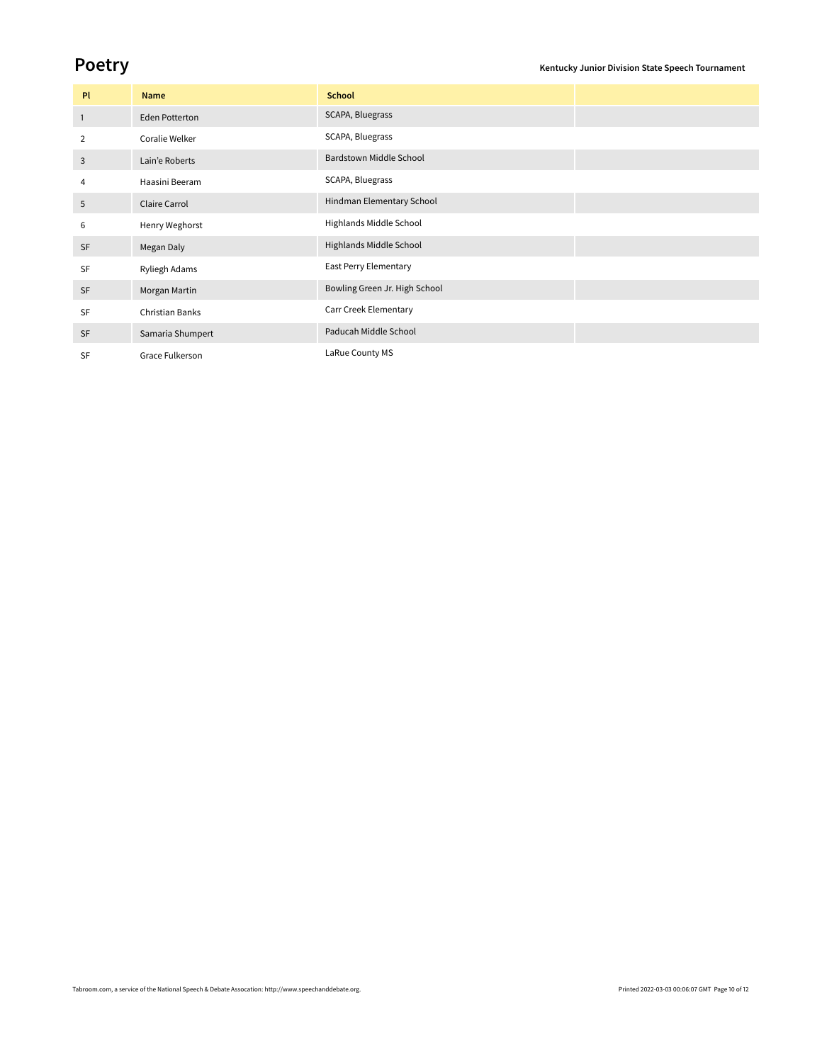| PI           | Name                  | <b>School</b>                 |  |
|--------------|-----------------------|-------------------------------|--|
| $\mathbf{1}$ | <b>Eden Potterton</b> | SCAPA, Bluegrass              |  |
| 2            | Coralie Welker        | SCAPA, Bluegrass              |  |
| 3            | Lain'e Roberts        | Bardstown Middle School       |  |
| 4            | Haasini Beeram        | SCAPA, Bluegrass              |  |
| 5            | Claire Carrol         | Hindman Elementary School     |  |
| 6            | Henry Weghorst        | Highlands Middle School       |  |
| <b>SF</b>    | Megan Daly            | Highlands Middle School       |  |
| SF           | Ryliegh Adams         | East Perry Elementary         |  |
| <b>SF</b>    | Morgan Martin         | Bowling Green Jr. High School |  |
| <b>SF</b>    | Christian Banks       | Carr Creek Elementary         |  |
| <b>SF</b>    | Samaria Shumpert      | Paducah Middle School         |  |
| <b>SF</b>    | Grace Fulkerson       | LaRue County MS               |  |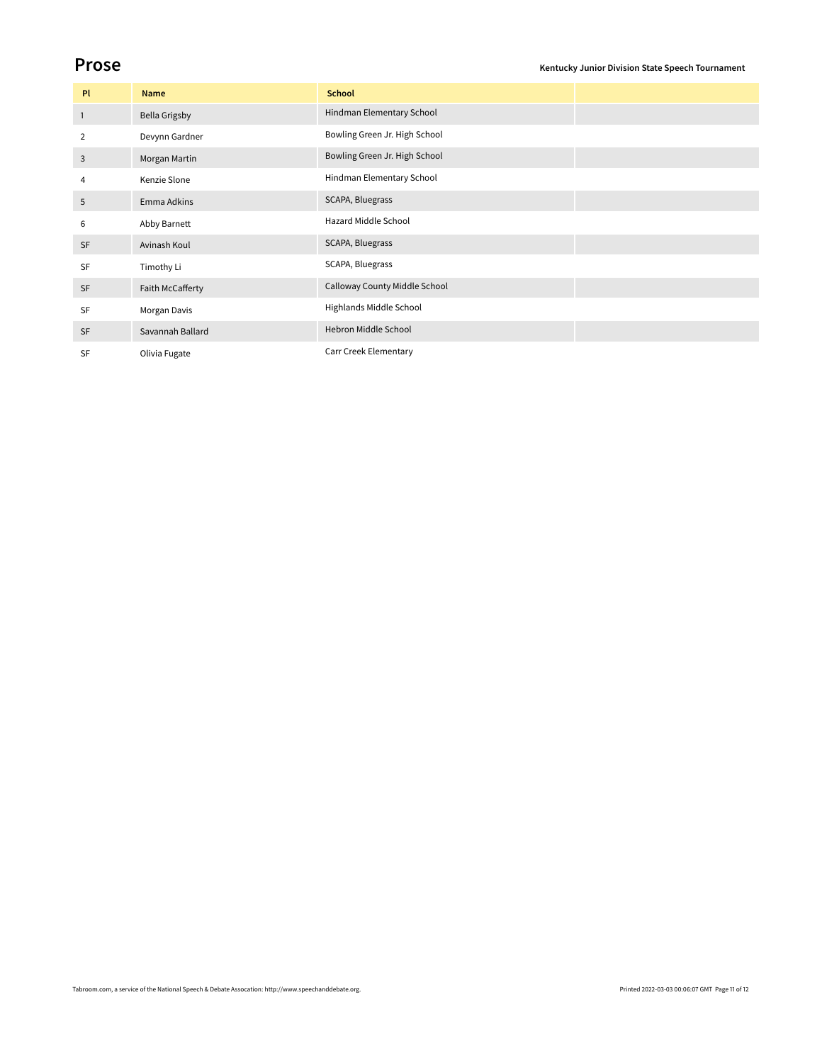| <b>PI</b>      | Name                 | <b>School</b>                 |  |
|----------------|----------------------|-------------------------------|--|
| $\overline{1}$ | <b>Bella Grigsby</b> | Hindman Elementary School     |  |
| 2              | Devynn Gardner       | Bowling Green Jr. High School |  |
| 3              | Morgan Martin        | Bowling Green Jr. High School |  |
| 4              | Kenzie Slone         | Hindman Elementary School     |  |
| 5              | Emma Adkins          | SCAPA, Bluegrass              |  |
| 6              | Abby Barnett         | Hazard Middle School          |  |
| <b>SF</b>      | Avinash Koul         | SCAPA, Bluegrass              |  |
| SF             | Timothy Li           | SCAPA, Bluegrass              |  |
| <b>SF</b>      | Faith McCafferty     | Calloway County Middle School |  |
| <b>SF</b>      | Morgan Davis         | Highlands Middle School       |  |
| SF             | Savannah Ballard     | Hebron Middle School          |  |
| SF             | Olivia Fugate        | Carr Creek Elementary         |  |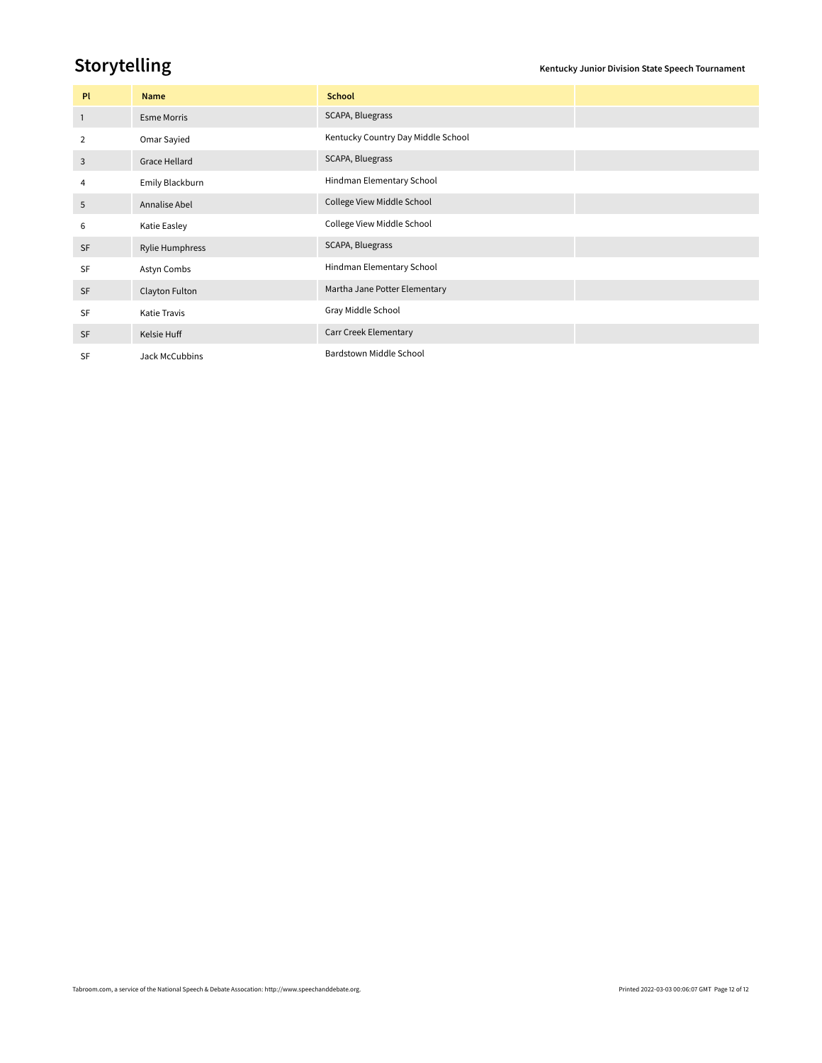**Storytelling Storytelling** 

| Pl             | Name                | <b>School</b>                      |  |
|----------------|---------------------|------------------------------------|--|
| $\overline{1}$ | <b>Esme Morris</b>  | SCAPA, Bluegrass                   |  |
| 2              | Omar Sayied         | Kentucky Country Day Middle School |  |
| 3              | Grace Hellard       | SCAPA, Bluegrass                   |  |
| 4              | Emily Blackburn     | Hindman Elementary School          |  |
| 5              | Annalise Abel       | College View Middle School         |  |
| 6              | Katie Easley        | College View Middle School         |  |
| <b>SF</b>      | Rylie Humphress     | SCAPA, Bluegrass                   |  |
| SF             | Astyn Combs         | Hindman Elementary School          |  |
| SF             | Clayton Fulton      | Martha Jane Potter Elementary      |  |
| <b>SF</b>      | <b>Katie Travis</b> | Gray Middle School                 |  |
| <b>SF</b>      | Kelsie Huff         | Carr Creek Elementary              |  |
| SF             | Jack McCubbins      | Bardstown Middle School            |  |